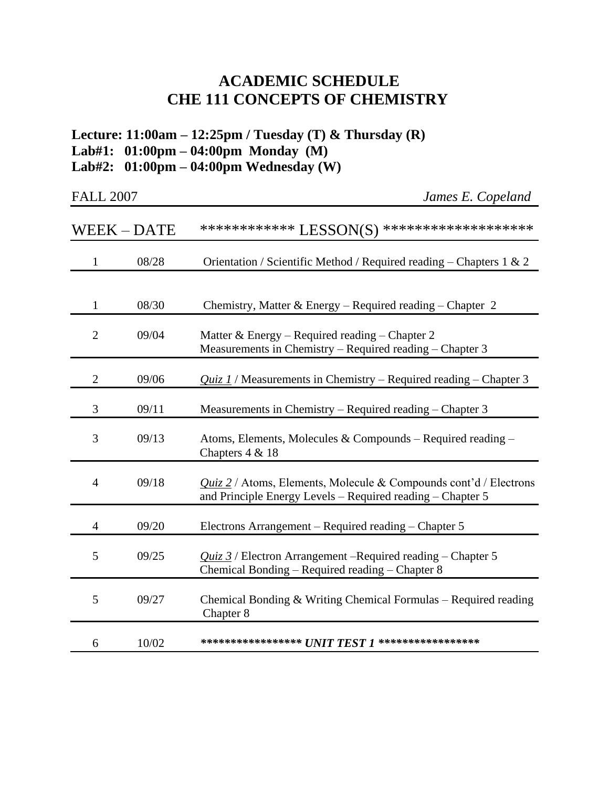## **ACADEMIC SCHEDULE CHE 111 CONCEPTS OF CHEMISTRY**

**Lecture: 11:00am – 12:25pm / Tuesday (T) & Thursday (R) Lab#1: 01:00pm – 04:00pm Monday (M) Lab#2: 01:00pm – 04:00pm Wednesday (W)**

| <b>FALL 2007</b> |
|------------------|
|                  |

**James E. Copeland** 

|                | <b>WEEK – DATE</b> | ************* LESSON(S) ********************                                                                                           |
|----------------|--------------------|----------------------------------------------------------------------------------------------------------------------------------------|
| $\mathbf{1}$   | 08/28              | Orientation / Scientific Method / Required reading - Chapters 1 & 2                                                                    |
| 1              | 08/30              | Chemistry, Matter & Energy – Required reading – Chapter 2                                                                              |
| $\overline{2}$ | 09/04              | Matter & Energy – Required reading – Chapter 2<br>Measurements in Chemistry – Required reading – Chapter 3                             |
| $\overline{2}$ | 09/06              | $Quiz 1$ / Measurements in Chemistry – Required reading – Chapter 3                                                                    |
| 3              | 09/11              | Measurements in Chemistry – Required reading – Chapter 3                                                                               |
| 3              | 09/13              | Atoms, Elements, Molecules & Compounds – Required reading –<br>Chapters 4 & 18                                                         |
| 4              | 09/18              | <i>Quiz 2</i> / Atoms, Elements, Molecule & Compounds cont'd / Electrons<br>and Principle Energy Levels - Required reading - Chapter 5 |
| 4              | 09/20              | Electrons Arrangement – Required reading – Chapter 5                                                                                   |
| 5              | 09/25              | <i>Quiz 3</i> / Electron Arrangement – Required reading – Chapter 5<br>Chemical Bonding - Required reading - Chapter 8                 |
| 5              | 09/27              | Chemical Bonding $&$ Writing Chemical Formulas – Required reading<br>Chapter 8                                                         |
| 6              | 10/02              | ****************** $UNIT\,TEST\,1\;********************$                                                                               |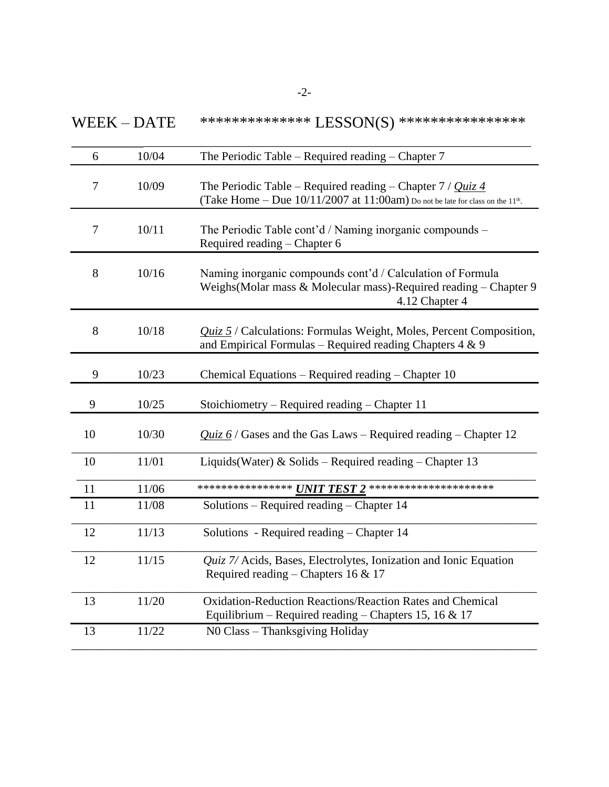$WEEK - DATE$  \*\*\*\*\*\*\*\*\*\*\*\*\*\*\*\*\* LESSON(S) \*\*\*\*\*\*\*\*\*\*\*\*\*\*\*\*\*\*

| 6                | 10/04 | The Periodic Table – Required reading – Chapter $7$                                                                                                          |
|------------------|-------|--------------------------------------------------------------------------------------------------------------------------------------------------------------|
| 7                | 10/09 | The Periodic Table – Required reading – Chapter $7 / Quiz$ 4<br>(Take Home $-$ Due 10/11/2007 at 11:00am) Do not be late for class on the 11 <sup>th</sup> . |
| $\boldsymbol{7}$ | 10/11 | The Periodic Table cont'd / Naming inorganic compounds -<br>Required reading - Chapter 6                                                                     |
| 8                | 10/16 | Naming inorganic compounds cont'd / Calculation of Formula<br>Weighs (Molar mass & Molecular mass)-Required reading – Chapter 9<br>4.12 Chapter 4            |
| 8                | 10/18 | Quiz 5 / Calculations: Formulas Weight, Moles, Percent Composition,<br>and Empirical Formulas – Required reading Chapters $4 \& 9$                           |
| 9                | 10/23 | Chemical Equations - Required reading - Chapter 10                                                                                                           |
| 9                | 10/25 | Stoichiometry – Required reading – Chapter 11                                                                                                                |
| 10               | 10/30 | $Quiz 6$ / Gases and the Gas Laws – Required reading – Chapter 12                                                                                            |
| 10               | 11/01 | Liquids (Water) & Solids – Required reading – Chapter 13                                                                                                     |
| 11               | 11/06 | ***************** $\pmb{U}\pmb{N}\pmb{T}$ TEST 2 **********************                                                                                      |
| 11               | 11/08 | Solutions – Required reading – Chapter 14                                                                                                                    |
| 12               | 11/13 | Solutions - Required reading – Chapter 14                                                                                                                    |
| 12               | 11/15 | Quiz 7/ Acids, Bases, Electrolytes, Ionization and Ionic Equation<br>Required reading – Chapters 16 & 17                                                     |
| 13               | 11/20 | Oxidation-Reduction Reactions/Reaction Rates and Chemical<br>Equilibrium – Required reading – Chapters 15, 16 & 17                                           |
| 13               | 11/22 | NO Class - Thanksgiving Holiday                                                                                                                              |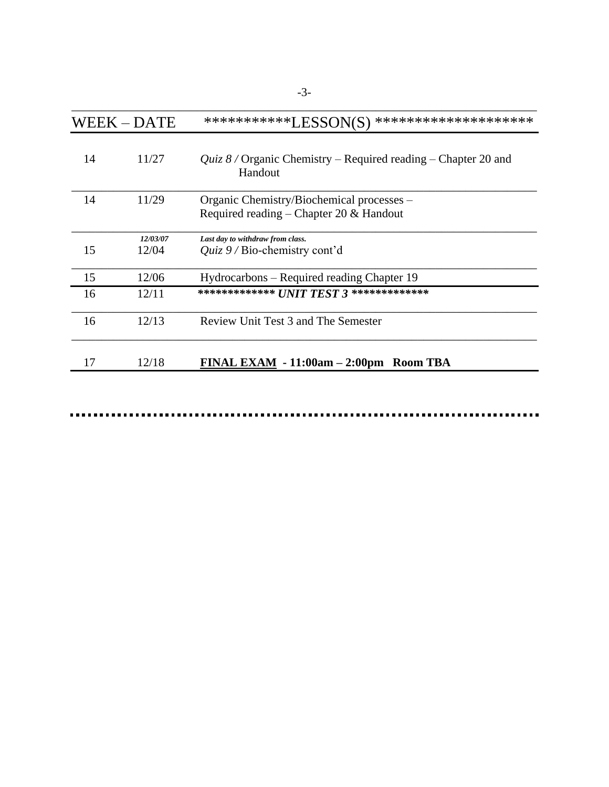|    | <b>WEEK-DATE</b>  | ************LESSON(S)<br>********************                                          |
|----|-------------------|----------------------------------------------------------------------------------------|
| 14 | 11/27             | <i>Quiz 8/</i> Organic Chemistry – Required reading – Chapter 20 and<br>Handout        |
| 14 | 11/29             | Organic Chemistry/Biochemical processes –<br>Required reading – Chapter 20 $&$ Handout |
| 15 | 12/03/07<br>12/04 | Last day to withdraw from class.<br>Quiz $9/$ Bio-chemistry cont'd                     |
| 15 | 12/06             | Hydrocarbons – Required reading Chapter 19                                             |
| 16 | 12/11             | ************** UNIT TEST 3 **************                                              |
| 16 | 12/13             | Review Unit Test 3 and The Semester                                                    |
| 17 | 12/18             | FINAL EXAM - 11:00am – 2:00pm Room TBA                                                 |

 $\blacksquare$ . . . . . . . . . .